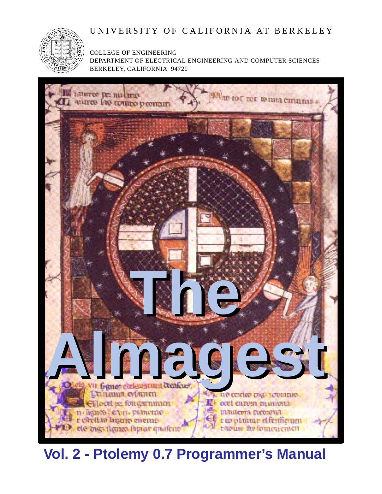## UNIVERSITY OF CALIFORNIA AT BERKELEY



COLLEGE OF ENGINEERING DEPARTMENT OF ELECTRICAL ENGINEERING AND COMPUTER SCIENCES BERKELEY, CALIFORNIA 94720



# **Vol. 2 - Ptolemy 0.7 Programmer's Manual**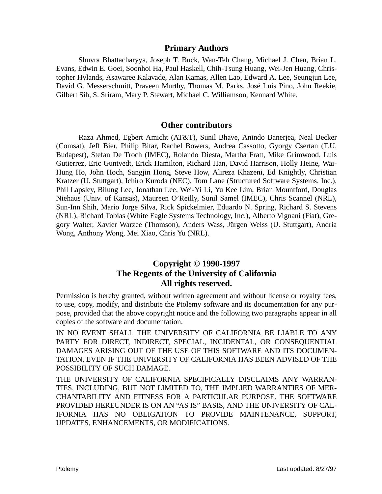## **Primary Authors**

Shuvra Bhattacharyya, Joseph T. Buck, Wan-Teh Chang, Michael J. Chen, Brian L. Evans, Edwin E. Goei, Soonhoi Ha, Paul Haskell, Chih-Tsung Huang, Wei-Jen Huang, Christopher Hylands, Asawaree Kalavade, Alan Kamas, Allen Lao, Edward A. Lee, Seungjun Lee, David G. Messerschmitt, Praveen Murthy, Thomas M. Parks, José Luis Pino, John Reekie, Gilbert Sih, S. Sriram, Mary P. Stewart, Michael C. Williamson, Kennard White.

#### **Other contributors**

Raza Ahmed, Egbert Amicht (AT&T), Sunil Bhave, Anindo Banerjea, Neal Becker (Comsat), Jeff Bier, Philip Bitar, Rachel Bowers, Andrea Cassotto, Gyorgy Csertan (T.U. Budapest), Stefan De Troch (IMEC), Rolando Diesta, Martha Fratt, Mike Grimwood, Luis Gutierrez, Eric Guntvedt, Erick Hamilton, Richard Han, David Harrison, Holly Heine, Wai-Hung Ho, John Hoch, Sangjin Hong, Steve How, Alireza Khazeni, Ed Knightly, Christian Kratzer (U. Stuttgart), Ichiro Kuroda (NEC), Tom Lane (Structured Software Systems, Inc.), Phil Lapsley, Bilung Lee, Jonathan Lee, Wei-Yi Li, Yu Kee Lim, Brian Mountford, Douglas Niehaus (Univ. of Kansas), Maureen O'Reilly, Sunil Samel (IMEC), Chris Scannel (NRL), Sun-Inn Shih, Mario Jorge Silva, Rick Spickelmier, Eduardo N. Spring, Richard S. Stevens (NRL), Richard Tobias (White Eagle Systems Technology, Inc.), Alberto Vignani (Fiat), Gregory Walter, Xavier Warzee (Thomson), Anders Wass, Jürgen Weiss (U. Stuttgart), Andria Wong, Anthony Wong, Mei Xiao, Chris Yu (NRL).

## **Copyright © 1990-1997 The Regents of the University of California All rights reserved.**

Permission is hereby granted, without written agreement and without license or royalty fees, to use, copy, modify, and distribute the Ptolemy software and its documentation for any purpose, provided that the above copyright notice and the following two paragraphs appear in all copies of the software and documentation.

IN NO EVENT SHALL THE UNIVERSITY OF CALIFORNIA BE LIABLE TO ANY PARTY FOR DIRECT, INDIRECT, SPECIAL, INCIDENTAL, OR CONSEQUENTIAL DAMAGES ARISING OUT OF THE USE OF THIS SOFTWARE AND ITS DOCUMEN-TATION, EVEN IF THE UNIVERSITY OF CALIFORNIA HAS BEEN ADVISED OF THE POSSIBILITY OF SUCH DAMAGE.

THE UNIVERSITY OF CALIFORNIA SPECIFICALLY DISCLAIMS ANY WARRAN-TIES, INCLUDING, BUT NOT LIMITED TO, THE IMPLIED WARRANTIES OF MER-CHANTABILITY AND FITNESS FOR A PARTICULAR PURPOSE. THE SOFTWARE PROVIDED HEREUNDER IS ON AN "AS IS" BASIS, AND THE UNIVERSITY OF CAL-IFORNIA HAS NO OBLIGATION TO PROVIDE MAINTENANCE, SUPPORT, UPDATES, ENHANCEMENTS, OR MODIFICATIONS.